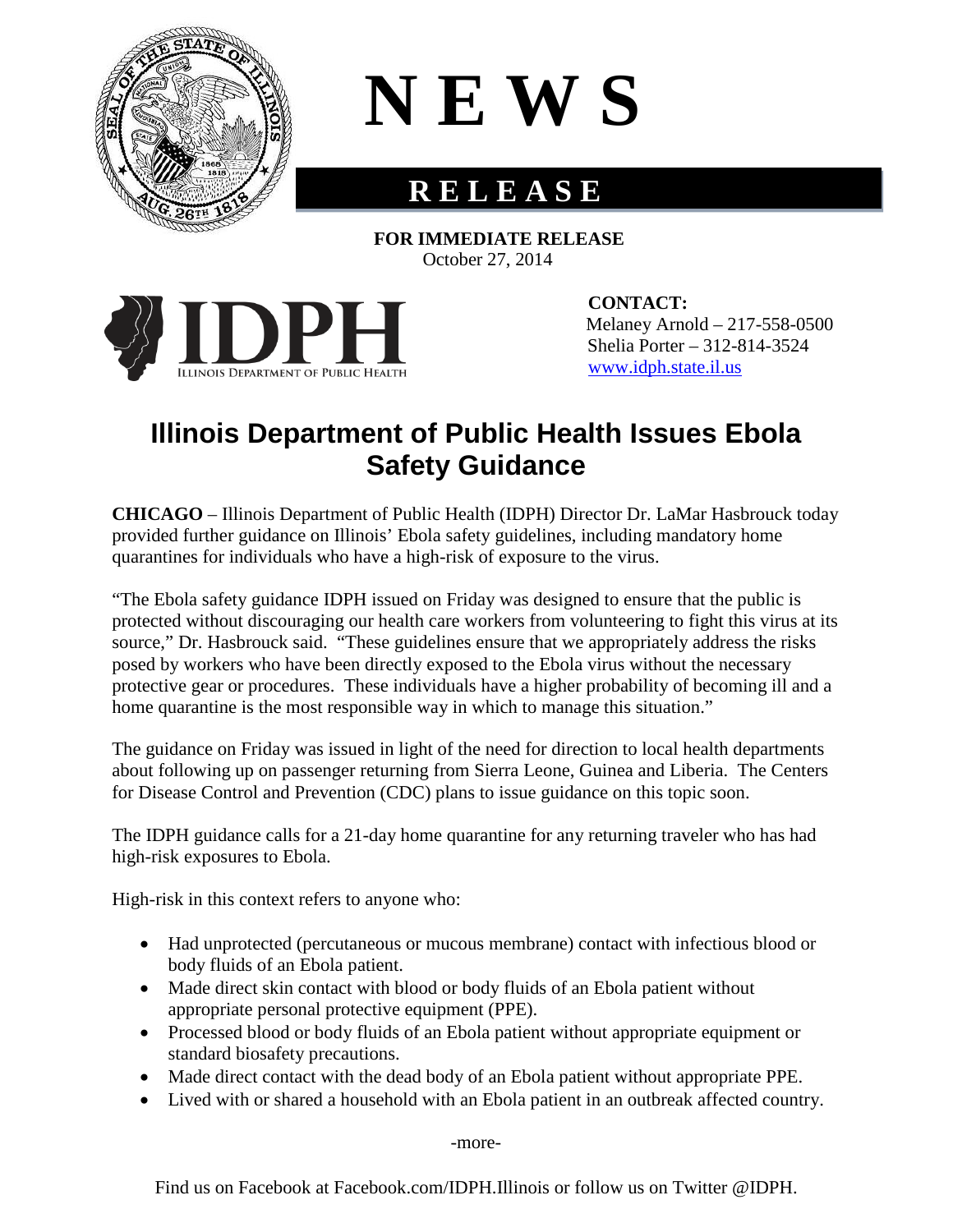

## **N E W S**

## **R E L E A S E**

 **FOR IMMEDIATE RELEASE** October 27, 2014



**CONTACT:**  Melaney Arnold – 217-558-0500 Shelia Porter – 312-814-3524 [www.idph.state.il.us](http://www.idph.state.il.us/)

## **Illinois Department of Public Health Issues Ebola Safety Guidance**

**CHICAGO** – Illinois Department of Public Health (IDPH) Director Dr. LaMar Hasbrouck today provided further guidance on Illinois' Ebola safety guidelines, including mandatory home quarantines for individuals who have a high-risk of exposure to the virus.

"The Ebola safety guidance IDPH issued on Friday was designed to ensure that the public is protected without discouraging our health care workers from volunteering to fight this virus at its source," Dr. Hasbrouck said. "These guidelines ensure that we appropriately address the risks posed by workers who have been directly exposed to the Ebola virus without the necessary protective gear or procedures. These individuals have a higher probability of becoming ill and a home quarantine is the most responsible way in which to manage this situation."

The guidance on Friday was issued in light of the need for direction to local health departments about following up on passenger returning from Sierra Leone, Guinea and Liberia. The Centers for Disease Control and Prevention (CDC) plans to issue guidance on this topic soon.

The IDPH guidance calls for a 21-day home quarantine for any returning traveler who has had high-risk exposures to Ebola.

High-risk in this context refers to anyone who:

- Had unprotected (percutaneous or mucous membrane) contact with infectious blood or body fluids of an Ebola patient.
- Made direct skin contact with blood or body fluids of an Ebola patient without appropriate personal protective equipment (PPE).
- Processed blood or body fluids of an Ebola patient without appropriate equipment or standard biosafety precautions.
- Made direct contact with the dead body of an Ebola patient without appropriate PPE.
- Lived with or shared a household with an Ebola patient in an outbreak affected country.

-more-

Find us on Facebook at Facebook.com/IDPH.Illinois or follow us on Twitter @IDPH.